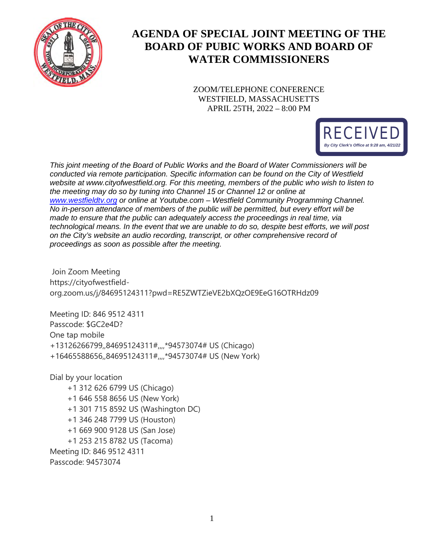

# **AGENDA OF SPECIAL JOINT MEETING OF THE BOARD OF PUBIC WORKS AND BOARD OF WATER COMMISSIONERS**

ZOOM/TELEPHONE CONFERENCE WESTFIELD, MASSACHUSETTS APRIL 25TH, 2022 – 8:00 PM



*This joint meeting of the Board of Public Works and the Board of Water Commissioners will be conducted via remote participation. Specific information can be found on the City of Westfield*  website at www.cityofwestfield.org. For this meeting, members of the public who wish to listen to *the meeting may do so by tuning into Channel 15 or Channel 12 or online at [www.westfieldtv.org](http://www.westfieldtv.org/) or online at Youtube.com – Westfield Community Programming Channel. No in-person attendance of members of the public will be permitted, but every effort will be made to ensure that the public can adequately access the proceedings in real time, via technological means. In the event that we are unable to do so, despite best efforts, we will post on the City's website an audio recording, transcript, or other comprehensive record of proceedings as soon as possible after the meeting.* 

Join Zoom Meeting https://cityofwestfieldorg.zoom.us/j/84695124311?pwd=RE5ZWTZieVE2bXQzOE9EeG16OTRHdz09

Meeting ID: 846 9512 4311 Passcode: \$GC2e4D? One tap mobile +13126266799,,84695124311#,,,,\*94573074# US (Chicago) +16465588656,,84695124311#,,,,\*94573074# US (New York)

Dial by your location +1 312 626 6799 US (Chicago)

- +1 646 558 8656 US (New York)
- +1 301 715 8592 US (Washington DC)
- +1 346 248 7799 US (Houston)
- +1 669 900 9128 US (San Jose)
- +1 253 215 8782 US (Tacoma)

Meeting ID: 846 9512 4311 Passcode: 94573074